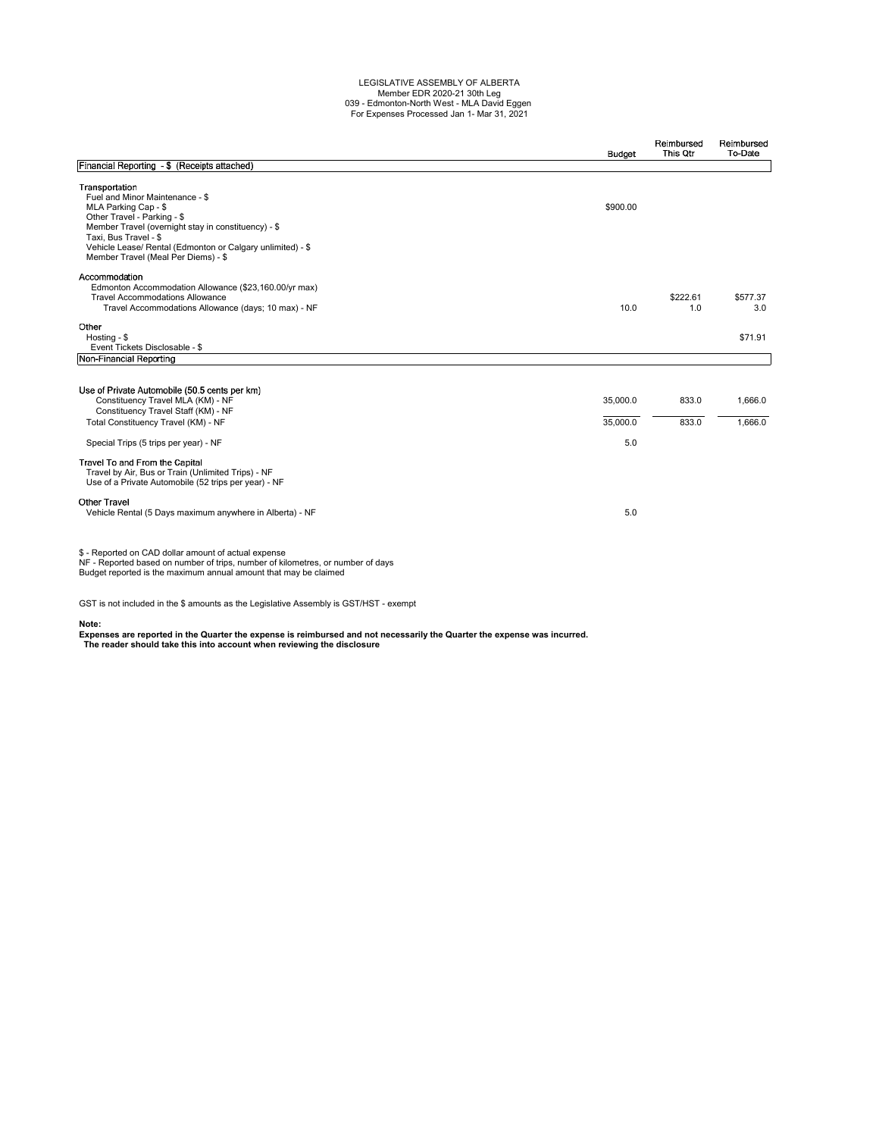## LEGISLATIVE ASSEMBLY OF ALBERTA Member EDR 2020-21 30th Leg 039 - Edmonton-North West - MLA David Eggen For Expenses Processed Jan 1- Mar 31, 2021

|                                                                                                                                                                                                                                                                                               | <b>Budget</b>               | Reimbursed<br>This Otr | Reimbursed<br>To-Date |
|-----------------------------------------------------------------------------------------------------------------------------------------------------------------------------------------------------------------------------------------------------------------------------------------------|-----------------------------|------------------------|-----------------------|
| Financial Reporting - \$ (Receipts attached)                                                                                                                                                                                                                                                  |                             |                        |                       |
| Transportation<br>Fuel and Minor Maintenance - \$<br>MLA Parking Cap - \$<br>Other Travel - Parking - \$<br>Member Travel (overnight stay in constituency) - \$<br>Taxi. Bus Travel - \$<br>Vehicle Lease/ Rental (Edmonton or Calgary unlimited) - \$<br>Member Travel (Meal Per Diems) - \$ | \$900.00                    |                        |                       |
| Accommodation<br>Edmonton Accommodation Allowance (\$23,160.00/yr max)<br><b>Travel Accommodations Allowance</b><br>Travel Accommodations Allowance (days; 10 max) - NF                                                                                                                       | 10.0                        | \$222.61<br>1.0        | \$577.37<br>3.0       |
| Other<br>Hosting - \$<br>Event Tickets Disclosable - \$                                                                                                                                                                                                                                       |                             |                        | \$71.91               |
| Non-Financial Reporting                                                                                                                                                                                                                                                                       |                             |                        |                       |
| Use of Private Automobile (50.5 cents per km)<br>Constituency Travel MLA (KM) - NF<br>Constituency Travel Staff (KM) - NF<br>Total Constituency Travel (KM) - NF<br>Special Trips (5 trips per year) - NF                                                                                     | 35,000.0<br>35,000.0<br>5.0 | 833.0<br>833.0         | 1,666.0<br>1,666.0    |
| Travel To and From the Capital<br>Travel by Air, Bus or Train (Unlimited Trips) - NF<br>Use of a Private Automobile (52 trips per year) - NF                                                                                                                                                  |                             |                        |                       |
| <b>Other Travel</b><br>Vehicle Rental (5 Days maximum anywhere in Alberta) - NF                                                                                                                                                                                                               | 5.0                         |                        |                       |
| \$ - Reported on CAD dollar amount of actual expense<br>NF - Reported based on number of trips, number of kilometres, or number of days<br>Budget reported is the maximum annual amount that may be claimed                                                                                   |                             |                        |                       |

GST is not included in the \$ amounts as the Legislative Assembly is GST/HST - exempt

**Note: Expenses are reported in the Quarter the expense is reimbursed and not necessarily the Quarter the expense was incurred. The reader should take this into account when reviewing the disclosure**